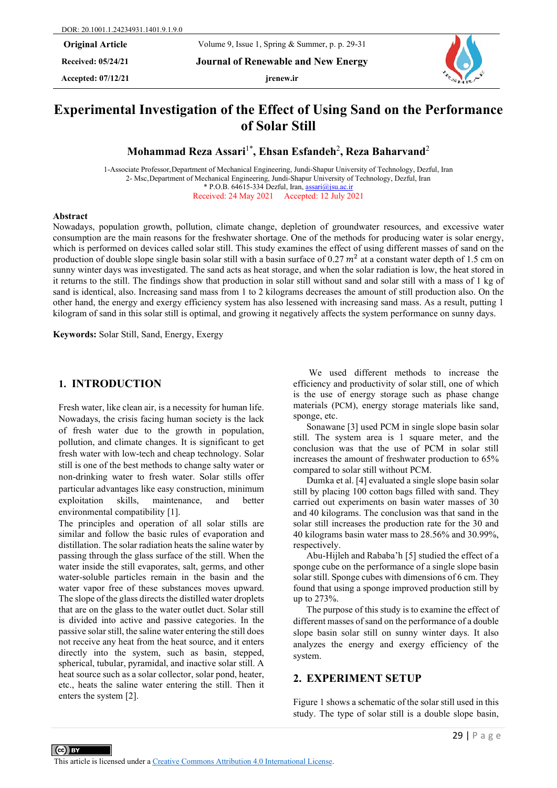**Received: 05/24/21 Journal of Renewable and New Energy**

**Accepted: 07/12/21 jrenew.ir**



# **Experimental Investigation of the Effect of Using Sand on the Performance of Solar Still**

**Mohammad Reza Assari**1\***, Ehsan Esfandeh**<sup>2</sup> **, Reza Baharvand**<sup>2</sup>

1-Associate Professor,Department of Mechanical Engineering, Jundi-Shapur University of Technology, Dezful, Iran 2- Msc,Department of Mechanical Engineering, Jundi-Shapur University of Technology, Dezful, Iran \* P.O.B. 64615-334 Dezful, Iran, [assari@jsu.ac.ir](mailto:assari@jsu.ac.ir) Received: 24 May 2021 Accepted: 12 July 2021

#### **Abstract**

Nowadays, population growth, pollution, climate change, depletion of groundwater resources, and excessive water consumption are the main reasons for the freshwater shortage. One of the methods for producing water is solar energy, which is performed on devices called solar still. This study examines the effect of using different masses of sand on the production of double slope single basin solar still with a basin surface of 0.27  $m<sup>2</sup>$  at a constant water depth of 1.5 cm on sunny winter days was investigated. The sand acts as heat storage, and when the solar radiation is low, the heat stored in it returns to the still. The findings show that production in solar still without sand and solar still with a mass of 1 kg of sand is identical, also. Increasing sand mass from 1 to 2 kilograms decreases the amount of still production also. On the other hand, the energy and exergy efficiency system has also lessened with increasing sand mass. As a result, putting 1 kilogram of sand in this solar still is optimal, and growing it negatively affects the system performance on sunny days.

**Keywords:** Solar Still, Sand, Energy, Exergy

# **1. INTRODUCTION**

Fresh water, like clean air, is a necessity for human life. Nowadays, the crisis facing human society is the lack of fresh water due to the growth in population, pollution, and climate changes. It is significant to get fresh water with low-tech and cheap technology. Solar still is one of the best methods to change salty water or non-drinking water to fresh water. Solar stills offer particular advantages like easy construction, minimum exploitation skills, maintenance, and better environmental compatibility [1].

The principles and operation of all solar stills are similar and follow the basic rules of evaporation and distillation. The solar radiation heats the saline water by passing through the glass surface of the still. When the water inside the still evaporates, salt, germs, and other water-soluble particles remain in the basin and the water vapor free of these substances moves upward. The slope of the glass directs the distilled water droplets that are on the glass to the water outlet duct. Solar still is divided into active and passive categories. In the passive solar still, the saline water entering the still does not receive any heat from the heat source, and it enters directly into the system, such as basin, stepped, spherical, tubular, pyramidal, and inactive solar still. A heat source such as a solar collector, solar pond, heater, etc., heats the saline water entering the still. Then it enters the system [2].

We used different methods to increase the efficiency and productivity of solar still, one of which is the use of energy storage such as phase change materials (PCM), energy storage materials like sand, sponge, etc.

Sonawane [3] used PCM in single slope basin solar still. The system area is 1 square meter, and the conclusion was that the use of PCM in solar still increases the amount of freshwater production to 65% compared to solar still without PCM.

Dumka et al. [4] evaluated a single slope basin solar still by placing 100 cotton bags filled with sand. They carried out experiments on basin water masses of 30 and 40 kilograms. The conclusion was that sand in the solar still increases the production rate for the 30 and 40 kilograms basin water mass to 28.56% and 30.99%, respectively.

Abu-Hijleh and Rababa'h [5] studied the effect of a sponge cube on the performance of a single slope basin solar still. Sponge cubes with dimensions of 6 cm. They found that using a sponge improved production still by up to 273%.

The purpose of this study is to examine the effect of different masses of sand on the performance of a double slope basin solar still on sunny winter days. It also analyzes the energy and exergy efficiency of the system.

# **2. EXPERIMENT SETUP**

Figure 1 shows a schematic of the solar still used in this study. The type of solar still is a double slope basin,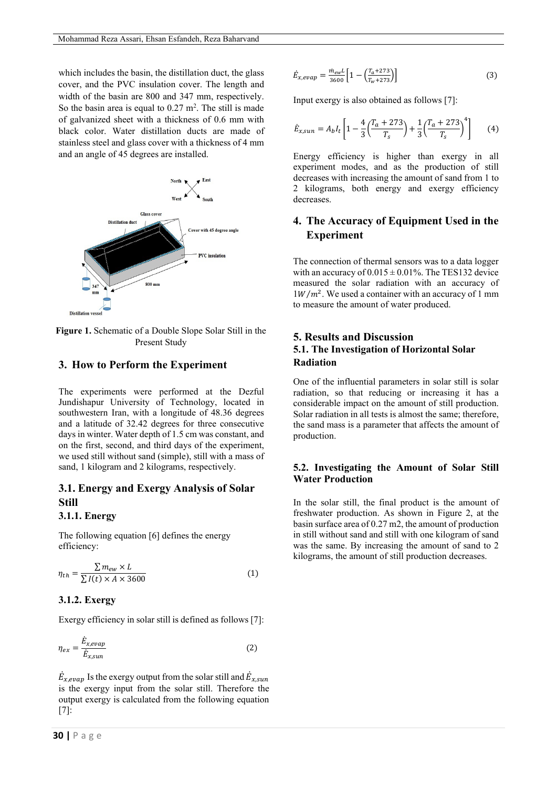which includes the basin, the distillation duct, the glass cover, and the PVC insulation cover. The length and width of the basin are 800 and 347 mm, respectively. So the basin area is equal to  $0.27 \text{ m}^2$ . The still is made of galvanized sheet with a thickness of 0.6 mm with black color. Water distillation ducts are made of stainless steel and glass cover with a thickness of 4 mm and an angle of 45 degrees are installed.



**Figure 1.** Schematic of a Double Slope Solar Still in the Present Study

## **3. How to Perform the Experiment**

The experiments were performed at the Dezful Jundishapur University of Technology, located in southwestern Iran, with a longitude of 48.36 degrees and a latitude of 32.42 degrees for three consecutive days in winter. Water depth of 1.5 cm was constant, and on the first, second, and third days of the experiment, we used still without sand (simple), still with a mass of sand, 1 kilogram and 2 kilograms, respectively.

# **3.1. Energy and Exergy Analysis of Solar Still**

### **3.1.1. Energy**

The following equation [6] defines the energy efficiency:

$$
\eta_{th} = \frac{\sum m_{ew} \times L}{\sum I(t) \times A \times 3600}
$$
 (1)

#### **3.1.2. Exergy**

Exergy efficiency in solar still is defined as follows [7]:

$$
\eta_{ex} = \frac{\dot{E}_{x,evap}}{\dot{E}_{x,sun}}\tag{2}
$$

 $\dot{E}_{x,evap}$  Is the exergy output from the solar still and  $\dot{E}_{x,sun}$ is the exergy input from the solar still. Therefore the output exergy is calculated from the following equation [7]:

$$
\dot{E}_{x,evap} = \frac{\dot{m}_{ew}L}{3600} \left[ 1 - \left( \frac{T_a + 273}{T_w + 273} \right) \right]
$$
 (3)

Input exergy is also obtained as follows [7]:

$$
\dot{E}_{x,sun} = A_b I_t \left[ 1 - \frac{4}{3} \left( \frac{T_a + 273}{T_s} \right) + \frac{1}{3} \left( \frac{T_a + 273}{T_s} \right)^4 \right] \tag{4}
$$

Energy efficiency is higher than exergy in all experiment modes, and as the production of still decreases with increasing the amount of sand from 1 to 2 kilograms, both energy and exergy efficiency decreases.

# **4. The Accuracy of Equipment Used in the Experiment**

The connection of thermal sensors was to a data logger with an accuracy of  $0.015 \pm 0.01\%$ . The TES132 device measured the solar radiation with an accuracy of  $1 W/m<sup>2</sup>$ . We used a container with an accuracy of 1 mm to measure the amount of water produced.

# **5. Results and Discussion 5.1. The Investigation of Horizontal Solar Radiation**

One of the influential parameters in solar still is solar radiation, so that reducing or increasing it has a considerable impact on the amount of still production. Solar radiation in all tests is almost the same; therefore, the sand mass is a parameter that affects the amount of production.

# **5.2. Investigating the Amount of Solar Still Water Production**

In the solar still, the final product is the amount of freshwater production. As shown in Figure 2, at the basin surface area of 0.27 m2, the amount of production in still without sand and still with one kilogram of sand was the same. By increasing the amount of sand to 2 kilograms, the amount of still production decreases.